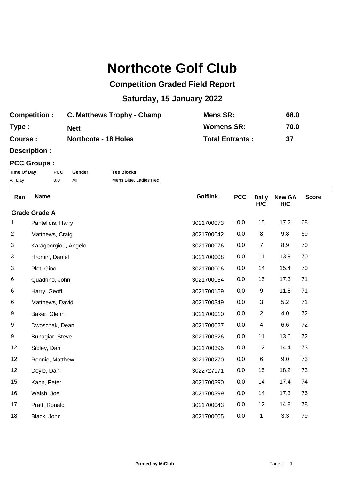## **Northcote Golf Club**

## **Competition Graded Field Report**

## **Saturday, 15 January 2022**

| <b>Competition:</b> | C. Matthews Trophy - Champ  | Mens SR:               | 68.0 |
|---------------------|-----------------------------|------------------------|------|
| Type:               | <b>Nett</b>                 | <b>Womens SR:</b>      | 70.0 |
| Course :            | <b>Northcote - 18 Holes</b> | <b>Total Entrants:</b> | -37  |

**Description :**

## **PCC Groups :**

| Time Of Day | <b>PCC</b> | Gender | <b>Tee Blocks</b>     |
|-------------|------------|--------|-----------------------|
| All Day     | 0.0        | All    | Mens Blue, Ladies Red |

| Ran            | <b>Name</b>          | <b>Golflink</b> | <b>PCC</b> | <b>Daily</b><br>H/C | <b>New GA</b><br>H/C | <b>Score</b> |
|----------------|----------------------|-----------------|------------|---------------------|----------------------|--------------|
|                | <b>Grade Grade A</b> |                 |            |                     |                      |              |
| 1              | Pantelidis, Harry    | 3021700073      | 0.0        | 15                  | 17.2                 | 68           |
| $\overline{c}$ | Matthews, Craig      | 3021700042      | 0.0        | 8                   | 9.8                  | 69           |
| 3              | Karageorgiou, Angelo | 3021700076      | 0.0        | $\overline{7}$      | 8.9                  | 70           |
| 3              | Hromin, Daniel       | 3021700008      | 0.0        | 11                  | 13.9                 | 70           |
| 3              | Plet, Gino           | 3021700006      | 0.0        | 14                  | 15.4                 | 70           |
| 6              | Quadrino, John       | 3021700054      | 0.0        | 15                  | 17.3                 | 71           |
| 6              | Harry, Geoff         | 3021700159      | 0.0        | 9                   | 11.8                 | 71           |
| 6              | Matthews, David      | 3021700349      | 0.0        | 3                   | 5.2                  | 71           |
| 9              | Baker, Glenn         | 3021700010      | 0.0        | $\sqrt{2}$          | 4.0                  | 72           |
| 9              | Dwoschak, Dean       | 3021700027      | 0.0        | 4                   | 6.6                  | 72           |
| 9              | Buhagiar, Steve      | 3021700326      | 0.0        | 11                  | 13.6                 | 72           |
| 12             | Sibley, Dan          | 3021700395      | 0.0        | 12                  | 14.4                 | 73           |
| 12             | Rennie, Matthew      | 3021700270      | 0.0        | 6                   | 9.0                  | 73           |
| 12             | Doyle, Dan           | 3022727171      | 0.0        | 15                  | 18.2                 | 73           |
| 15             | Kann, Peter          | 3021700390      | 0.0        | 14                  | 17.4                 | 74           |
| 16             | Walsh, Joe           | 3021700399      | 0.0        | 14                  | 17.3                 | 76           |
| 17             | Pratt, Ronald        | 3021700043      | 0.0        | 12                  | 14.8                 | 78           |
| 18             | Black, John          | 3021700005      | 0.0        | $\mathbf 1$         | 3.3                  | 79           |